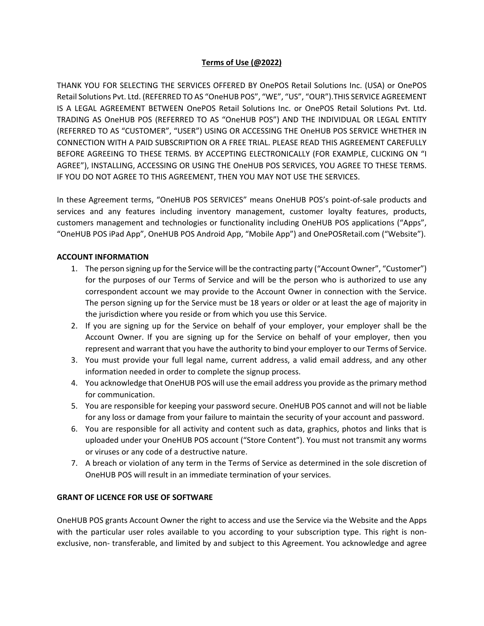### **Terms of Use (@2022)**

THANK YOU FOR SELECTING THE SERVICES OFFERED BY OnePOS Retail Solutions Inc. (USA) or OnePOS Retail Solutions Pvt. Ltd. (REFERRED TO AS "OneHUB POS", "WE", "US", "OUR").THIS SERVICE AGREEMENT IS A LEGAL AGREEMENT BETWEEN OnePOS Retail Solutions Inc. or OnePOS Retail Solutions Pvt. Ltd. TRADING AS OneHUB POS (REFERRED TO AS "OneHUB POS") AND THE INDIVIDUAL OR LEGAL ENTITY (REFERRED TO AS "CUSTOMER", "USER") USING OR ACCESSING THE OneHUB POS SERVICE WHETHER IN CONNECTION WITH A PAID SUBSCRIPTION OR A FREE TRIAL. PLEASE READ THIS AGREEMENT CAREFULLY BEFORE AGREEING TO THESE TERMS. BY ACCEPTING ELECTRONICALLY (FOR EXAMPLE, CLICKING ON "I AGREE"), INSTALLING, ACCESSING OR USING THE OneHUB POS SERVICES, YOU AGREE TO THESE TERMS. IF YOU DO NOT AGREE TO THIS AGREEMENT, THEN YOU MAY NOT USE THE SERVICES.

In these Agreement terms, "OneHUB POS SERVICES" means OneHUB POS's point-of-sale products and services and any features including inventory management, customer loyalty features, products, customers management and technologies or functionality including OneHUB POS applications ("Apps", "OneHUB POS iPad App", OneHUB POS Android App, "Mobile App") and OnePOSRetail.com ("Website").

### **ACCOUNT INFORMATION**

- 1. The person signing up for the Service will be the contracting party ("Account Owner", "Customer") for the purposes of our Terms of Service and will be the person who is authorized to use any correspondent account we may provide to the Account Owner in connection with the Service. The person signing up for the Service must be 18 years or older or at least the age of majority in the jurisdiction where you reside or from which you use this Service.
- 2. If you are signing up for the Service on behalf of your employer, your employer shall be the Account Owner. If you are signing up for the Service on behalf of your employer, then you represent and warrant that you have the authority to bind your employer to our Terms of Service.
- 3. You must provide your full legal name, current address, a valid email address, and any other information needed in order to complete the signup process.
- 4. You acknowledge that OneHUB POS will use the email address you provide as the primary method for communication.
- 5. You are responsible for keeping your password secure. OneHUB POS cannot and will not be liable for any loss or damage from your failure to maintain the security of your account and password.
- 6. You are responsible for all activity and content such as data, graphics, photos and links that is uploaded under your OneHUB POS account ("Store Content"). You must not transmit any worms or viruses or any code of a destructive nature.
- 7. A breach or violation of any term in the Terms of Service as determined in the sole discretion of OneHUB POS will result in an immediate termination of your services.

### **GRANT OF LICENCE FOR USE OF SOFTWARE**

OneHUB POS grants Account Owner the right to access and use the Service via the Website and the Apps with the particular user roles available to you according to your subscription type. This right is nonexclusive, non- transferable, and limited by and subject to this Agreement. You acknowledge and agree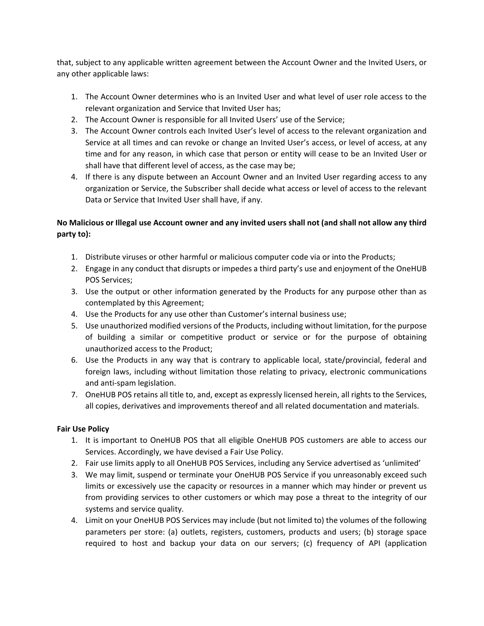that, subject to any applicable written agreement between the Account Owner and the Invited Users, or any other applicable laws:

- 1. The Account Owner determines who is an Invited User and what level of user role access to the relevant organization and Service that Invited User has;
- 2. The Account Owner is responsible for all Invited Users' use of the Service;
- 3. The Account Owner controls each Invited User's level of access to the relevant organization and Service at all times and can revoke or change an Invited User's access, or level of access, at any time and for any reason, in which case that person or entity will cease to be an Invited User or shall have that different level of access, as the case may be;
- 4. If there is any dispute between an Account Owner and an Invited User regarding access to any organization or Service, the Subscriber shall decide what access or level of access to the relevant Data or Service that Invited User shall have, if any.

# **No Malicious or Illegal use Account owner and any invited users shall not (and shall not allow any third party to):**

- 1. Distribute viruses or other harmful or malicious computer code via or into the Products;
- 2. Engage in any conduct that disrupts or impedes a third party's use and enjoyment of the OneHUB POS Services;
- 3. Use the output or other information generated by the Products for any purpose other than as contemplated by this Agreement;
- 4. Use the Products for any use other than Customer's internal business use;
- 5. Use unauthorized modified versions of the Products, including without limitation, for the purpose of building a similar or competitive product or service or for the purpose of obtaining unauthorized access to the Product;
- 6. Use the Products in any way that is contrary to applicable local, state/provincial, federal and foreign laws, including without limitation those relating to privacy, electronic communications and anti-spam legislation.
- 7. OneHUB POS retains all title to, and, except as expressly licensed herein, all rights to the Services, all copies, derivatives and improvements thereof and all related documentation and materials.

## **Fair Use Policy**

- 1. It is important to OneHUB POS that all eligible OneHUB POS customers are able to access our Services. Accordingly, we have devised a Fair Use Policy.
- 2. Fair use limits apply to all OneHUB POS Services, including any Service advertised as 'unlimited'
- 3. We may limit, suspend or terminate your OneHUB POS Service if you unreasonably exceed such limits or excessively use the capacity or resources in a manner which may hinder or prevent us from providing services to other customers or which may pose a threat to the integrity of our systems and service quality.
- 4. Limit on your OneHUB POS Services may include (but not limited to) the volumes of the following parameters per store: (a) outlets, registers, customers, products and users; (b) storage space required to host and backup your data on our servers; (c) frequency of API (application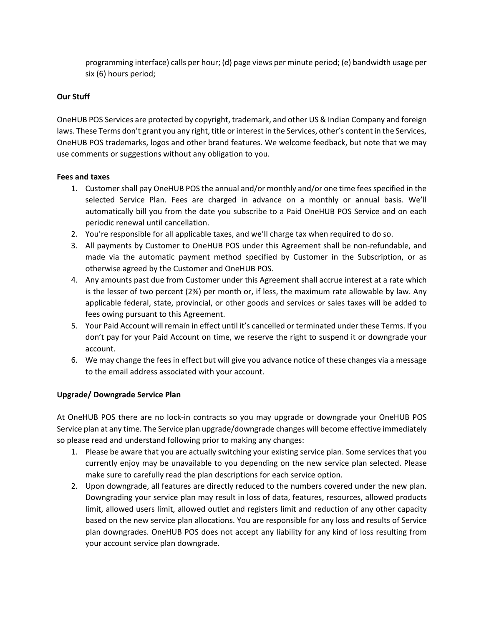programming interface) calls per hour; (d) page views per minute period; (e) bandwidth usage per six (6) hours period;

### **Our Stuff**

OneHUB POS Services are protected by copyright, trademark, and other US & Indian Company and foreign laws. These Terms don't grant you any right, title or interest in the Services, other's content in the Services, OneHUB POS trademarks, logos and other brand features. We welcome feedback, but note that we may use comments or suggestions without any obligation to you.

### **Fees and taxes**

- 1. Customer shall pay OneHUB POS the annual and/or monthly and/or one time fees specified in the selected Service Plan. Fees are charged in advance on a monthly or annual basis. We'll automatically bill you from the date you subscribe to a Paid OneHUB POS Service and on each periodic renewal until cancellation.
- 2. You're responsible for all applicable taxes, and we'll charge tax when required to do so.
- 3. All payments by Customer to OneHUB POS under this Agreement shall be non-refundable, and made via the automatic payment method specified by Customer in the Subscription, or as otherwise agreed by the Customer and OneHUB POS.
- 4. Any amounts past due from Customer under this Agreement shall accrue interest at a rate which is the lesser of two percent (2%) per month or, if less, the maximum rate allowable by law. Any applicable federal, state, provincial, or other goods and services or sales taxes will be added to fees owing pursuant to this Agreement.
- 5. Your Paid Account will remain in effect until it's cancelled or terminated under these Terms. If you don't pay for your Paid Account on time, we reserve the right to suspend it or downgrade your account.
- 6. We may change the fees in effect but will give you advance notice of these changes via a message to the email address associated with your account.

### **Upgrade/ Downgrade Service Plan**

At OneHUB POS there are no lock-in contracts so you may upgrade or downgrade your OneHUB POS Service plan at any time. The Service plan upgrade/downgrade changes will become effective immediately so please read and understand following prior to making any changes:

- 1. Please be aware that you are actually switching your existing service plan. Some services that you currently enjoy may be unavailable to you depending on the new service plan selected. Please make sure to carefully read the plan descriptions for each service option.
- 2. Upon downgrade, all features are directly reduced to the numbers covered under the new plan. Downgrading your service plan may result in loss of data, features, resources, allowed products limit, allowed users limit, allowed outlet and registers limit and reduction of any other capacity based on the new service plan allocations. You are responsible for any loss and results of Service plan downgrades. OneHUB POS does not accept any liability for any kind of loss resulting from your account service plan downgrade.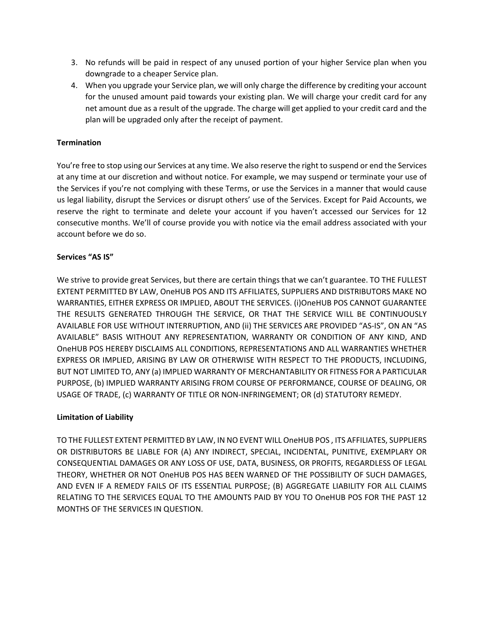- 3. No refunds will be paid in respect of any unused portion of your higher Service plan when you downgrade to a cheaper Service plan.
- 4. When you upgrade your Service plan, we will only charge the difference by crediting your account for the unused amount paid towards your existing plan. We will charge your credit card for any net amount due as a result of the upgrade. The charge will get applied to your credit card and the plan will be upgraded only after the receipt of payment.

### **Termination**

You're free to stop using our Services at any time. We also reserve the right to suspend or end the Services at any time at our discretion and without notice. For example, we may suspend or terminate your use of the Services if you're not complying with these Terms, or use the Services in a manner that would cause us legal liability, disrupt the Services or disrupt others' use of the Services. Except for Paid Accounts, we reserve the right to terminate and delete your account if you haven't accessed our Services for 12 consecutive months. We'll of course provide you with notice via the email address associated with your account before we do so.

### **Services "AS IS"**

We strive to provide great Services, but there are certain things that we can't guarantee. TO THE FULLEST EXTENT PERMITTED BY LAW, OneHUB POS AND ITS AFFILIATES, SUPPLIERS AND DISTRIBUTORS MAKE NO WARRANTIES, EITHER EXPRESS OR IMPLIED, ABOUT THE SERVICES. (i)OneHUB POS CANNOT GUARANTEE THE RESULTS GENERATED THROUGH THE SERVICE, OR THAT THE SERVICE WILL BE CONTINUOUSLY AVAILABLE FOR USE WITHOUT INTERRUPTION, AND (ii) THE SERVICES ARE PROVIDED "AS-IS", ON AN "AS AVAILABLE" BASIS WITHOUT ANY REPRESENTATION, WARRANTY OR CONDITION OF ANY KIND, AND OneHUB POS HEREBY DISCLAIMS ALL CONDITIONS, REPRESENTATIONS AND ALL WARRANTIES WHETHER EXPRESS OR IMPLIED, ARISING BY LAW OR OTHERWISE WITH RESPECT TO THE PRODUCTS, INCLUDING, BUT NOT LIMITED TO, ANY (a) IMPLIED WARRANTY OF MERCHANTABILITY OR FITNESS FOR A PARTICULAR PURPOSE, (b) IMPLIED WARRANTY ARISING FROM COURSE OF PERFORMANCE, COURSE OF DEALING, OR USAGE OF TRADE, (c) WARRANTY OF TITLE OR NON-INFRINGEMENT; OR (d) STATUTORY REMEDY.

### **Limitation of Liability**

TO THE FULLEST EXTENT PERMITTED BY LAW, IN NO EVENT WILL OneHUB POS , ITS AFFILIATES, SUPPLIERS OR DISTRIBUTORS BE LIABLE FOR (A) ANY INDIRECT, SPECIAL, INCIDENTAL, PUNITIVE, EXEMPLARY OR CONSEQUENTIAL DAMAGES OR ANY LOSS OF USE, DATA, BUSINESS, OR PROFITS, REGARDLESS OF LEGAL THEORY, WHETHER OR NOT OneHUB POS HAS BEEN WARNED OF THE POSSIBILITY OF SUCH DAMAGES, AND EVEN IF A REMEDY FAILS OF ITS ESSENTIAL PURPOSE; (B) AGGREGATE LIABILITY FOR ALL CLAIMS RELATING TO THE SERVICES EQUAL TO THE AMOUNTS PAID BY YOU TO OneHUB POS FOR THE PAST 12 MONTHS OF THE SERVICES IN QUESTION.